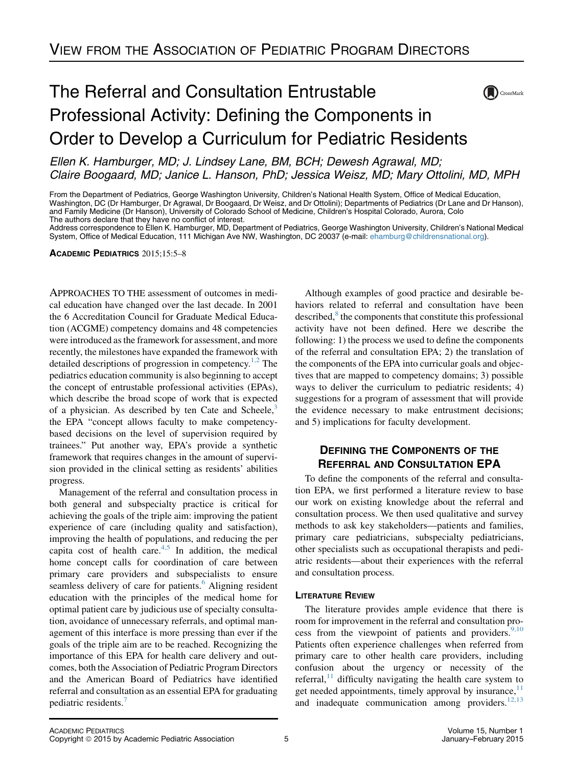# The Referral and Consultation Entrustable Professional Activity: Defining the Components in Order to Develop a Curriculum for Pediatric Residents

Ellen K. Hamburger, MD; J. Lindsey Lane, BM, BCH; Dewesh Agrawal, MD; Claire Boogaard, MD; Janice L. Hanson, PhD; Jessica Weisz, MD; Mary Ottolini, MD, MPH

From the Department of Pediatrics, George Washington University, Children's National Health System, Office of Medical Education, Washington, DC (Dr Hamburger, Dr Agrawal, Dr Boogaard, Dr Weisz, and Dr Ottolini); Departments of Pediatrics (Dr Lane and Dr Hanson), and Family Medicine (Dr Hanson), University of Colorado School of Medicine, Children's Hospital Colorado, Aurora, Colo The authors declare that they have no conflict of interest.

Address correspondence to Ellen K. Hamburger, MD, Department of Pediatrics, George Washington University, Children's National Medical System, Office of Medical Education, 111 Michigan Ave NW, Washington, DC 20037 (e-mail: [ehamburg@childrensnational.org](mailto:ehamburg@childrensnational.org)).

ACADEMIC PEDIATRICS 2015;15:5–8

APPROACHES TO THE assessment of outcomes in medical education have changed over the last decade. In 2001 the 6 Accreditation Council for Graduate Medical Education (ACGME) competency domains and 48 competencies were introduced as the framework for assessment, and more recently, the milestones have expanded the framework with detailed descriptions of progression in competency.<sup>1,2</sup> The pediatrics education community is also beginning to accept the concept of entrustable professional activities (EPAs), which describe the broad scope of work that is expected of a physician. As described by ten Cate and Scheele,<sup>[3](#page-3-0)</sup> the EPA "concept allows faculty to make competencybased decisions on the level of supervision required by trainees." Put another way, EPA's provide a synthetic framework that requires changes in the amount of supervision provided in the clinical setting as residents' abilities progress.

Management of the referral and consultation process in both general and subspecialty practice is critical for achieving the goals of the triple aim: improving the patient experience of care (including quality and satisfaction), improving the health of populations, and reducing the per capita cost of health care. $4,5$  In addition, the medical home concept calls for coordination of care between primary care providers and subspecialists to ensure seamless delivery of care for patients.<sup>[6](#page-3-0)</sup> Aligning resident education with the principles of the medical home for optimal patient care by judicious use of specialty consultation, avoidance of unnecessary referrals, and optimal management of this interface is more pressing than ever if the goals of the triple aim are to be reached. Recognizing the importance of this EPA for health care delivery and outcomes, both the Association of Pediatric Program Directors and the American Board of Pediatrics have identified referral and consultation as an essential EPA for graduating pediatric residents.<sup>7</sup>

Although examples of good practice and desirable behaviors related to referral and consultation have been described,<sup>8</sup> the components that constitute this professional activity have not been defined. Here we describe the following: 1) the process we used to define the components of the referral and consultation EPA; 2) the translation of the components of the EPA into curricular goals and objectives that are mapped to competency domains; 3) possible ways to deliver the curriculum to pediatric residents; 4) suggestions for a program of assessment that will provide the evidence necessary to make entrustment decisions; and 5) implications for faculty development.

**O** CrossMark

# DEFINING THE COMPONENTS OF THE REFERRAL AND CONSULTATION EPA

To define the components of the referral and consultation EPA, we first performed a literature review to base our work on existing knowledge about the referral and consultation process. We then used qualitative and survey methods to ask key stakeholders—patients and families, primary care pediatricians, subspecialty pediatricians, other specialists such as occupational therapists and pediatric residents—about their experiences with the referral and consultation process.

# LITERATURE REVIEW

The literature provides ample evidence that there is room for improvement in the referral and consultation process from the viewpoint of patients and providers. $9,10$ Patients often experience challenges when referred from primary care to other health care providers, including confusion about the urgency or necessity of the referral,  $\frac{11}{11}$  $\frac{11}{11}$  $\frac{11}{11}$  difficulty navigating the health care system to get needed appointments, timely approval by insurance,  $11$ and inadequate communication among providers.<sup>[12,13](#page-3-0)</sup>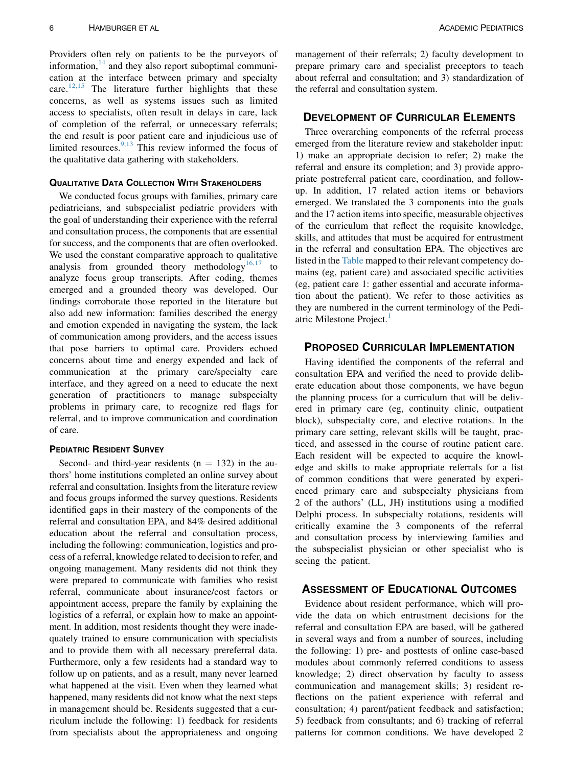Providers often rely on patients to be the purveyors of information, $14$  and they also report suboptimal communication at the interface between primary and specialty care.<sup>[12,15](#page-3-0)</sup> The literature further highlights that these concerns, as well as systems issues such as limited access to specialists, often result in delays in care, lack of completion of the referral, or unnecessary referrals; the end result is poor patient care and injudicious use of limited resources. $9,13$  This review informed the focus of the qualitative data gathering with stakeholders.

## QUALITATIVE DATA COLLECTION WITH STAKEHOLDERS

We conducted focus groups with families, primary care pediatricians, and subspecialist pediatric providers with the goal of understanding their experience with the referral and consultation process, the components that are essential for success, and the components that are often overlooked. We used the constant comparative approach to qualitative analysis from grounded theory methodology $16,17$  to analyze focus group transcripts. After coding, themes emerged and a grounded theory was developed. Our findings corroborate those reported in the literature but also add new information: families described the energy and emotion expended in navigating the system, the lack of communication among providers, and the access issues that pose barriers to optimal care. Providers echoed concerns about time and energy expended and lack of communication at the primary care/specialty care interface, and they agreed on a need to educate the next generation of practitioners to manage subspecialty problems in primary care, to recognize red flags for referral, and to improve communication and coordination of care.

#### PEDIATRIC RESIDENT SURVEY

Second- and third-year residents ( $n = 132$ ) in the authors' home institutions completed an online survey about referral and consultation. Insights from the literature review and focus groups informed the survey questions. Residents identified gaps in their mastery of the components of the referral and consultation EPA, and 84% desired additional education about the referral and consultation process, including the following: communication, logistics and process of a referral, knowledge related to decision to refer, and ongoing management. Many residents did not think they were prepared to communicate with families who resist referral, communicate about insurance/cost factors or appointment access, prepare the family by explaining the logistics of a referral, or explain how to make an appointment. In addition, most residents thought they were inadequately trained to ensure communication with specialists and to provide them with all necessary prereferral data. Furthermore, only a few residents had a standard way to follow up on patients, and as a result, many never learned what happened at the visit. Even when they learned what happened, many residents did not know what the next steps in management should be. Residents suggested that a curriculum include the following: 1) feedback for residents from specialists about the appropriateness and ongoing

management of their referrals; 2) faculty development to prepare primary care and specialist preceptors to teach about referral and consultation; and 3) standardization of the referral and consultation system.

## DEVELOPMENT OF CURRICULAR ELEMENTS

Three overarching components of the referral process emerged from the literature review and stakeholder input: 1) make an appropriate decision to refer; 2) make the referral and ensure its completion; and 3) provide appropriate postreferral patient care, coordination, and followup. In addition, 17 related action items or behaviors emerged. We translated the 3 components into the goals and the 17 action items into specific, measurable objectives of the curriculum that reflect the requisite knowledge, skills, and attitudes that must be acquired for entrustment in the referral and consultation EPA. The objectives are listed in the [Table](#page-2-0) mapped to their relevant competency domains (eg, patient care) and associated specific activities (eg, patient care 1: gather essential and accurate information about the patient). We refer to those activities as they are numbered in the current terminology of the Pedi-atric Milestone Project.<sup>[1](#page-3-0)</sup>

## PROPOSED CURRICULAR IMPLEMENTATION

Having identified the components of the referral and consultation EPA and verified the need to provide deliberate education about those components, we have begun the planning process for a curriculum that will be delivered in primary care (eg, continuity clinic, outpatient block), subspecialty core, and elective rotations. In the primary care setting, relevant skills will be taught, practiced, and assessed in the course of routine patient care. Each resident will be expected to acquire the knowledge and skills to make appropriate referrals for a list of common conditions that were generated by experienced primary care and subspecialty physicians from 2 of the authors' (LL, JH) institutions using a modified Delphi process. In subspecialty rotations, residents will critically examine the 3 components of the referral and consultation process by interviewing families and the subspecialist physician or other specialist who is seeing the patient.

## ASSESSMENT OF EDUCATIONAL OUTCOMES

Evidence about resident performance, which will provide the data on which entrustment decisions for the referral and consultation EPA are based, will be gathered in several ways and from a number of sources, including the following: 1) pre- and posttests of online case-based modules about commonly referred conditions to assess knowledge; 2) direct observation by faculty to assess communication and management skills; 3) resident reflections on the patient experience with referral and consultation; 4) parent/patient feedback and satisfaction; 5) feedback from consultants; and 6) tracking of referral patterns for common conditions. We have developed 2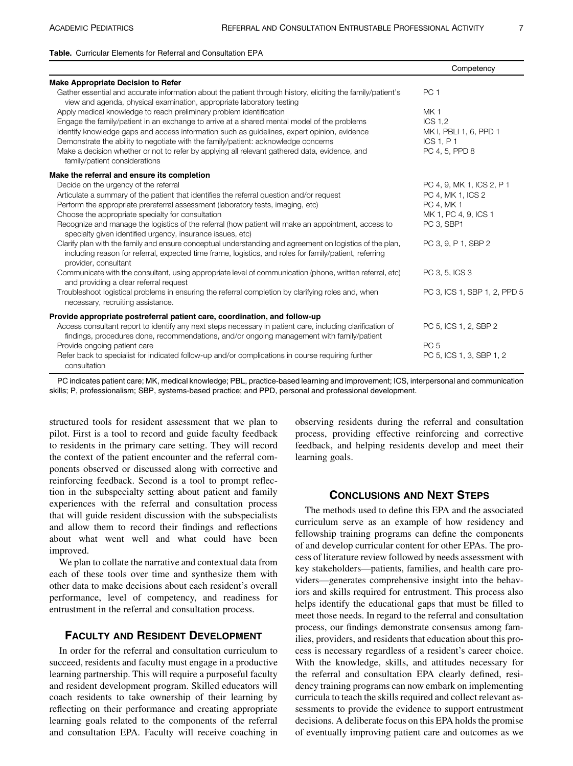#### <span id="page-2-0"></span>Table. Curricular Elements for Referral and Consultation EPA

|                                                                                                                                                                                                                                            | Competency                   |
|--------------------------------------------------------------------------------------------------------------------------------------------------------------------------------------------------------------------------------------------|------------------------------|
| <b>Make Appropriate Decision to Refer</b>                                                                                                                                                                                                  |                              |
| Gather essential and accurate information about the patient through history, eliciting the family/patient's<br>view and agenda, physical examination, appropriate laboratory testing                                                       | PC <sub>1</sub>              |
| Apply medical knowledge to reach preliminary problem identification                                                                                                                                                                        | MK <sub>1</sub>              |
| Engage the family/patient in an exchange to arrive at a shared mental model of the problems                                                                                                                                                | ICS 1,2                      |
| Identify knowledge gaps and access information such as guidelines, expert opinion, evidence                                                                                                                                                | MK I, PBLI 1, 6, PPD 1       |
| Demonstrate the ability to negotiate with the family/patient: acknowledge concerns                                                                                                                                                         | ICS 1, P 1                   |
| Make a decision whether or not to refer by applying all relevant gathered data, evidence, and<br>family/patient considerations                                                                                                             | PC 4, 5, PPD 8               |
| Make the referral and ensure its completion                                                                                                                                                                                                |                              |
| Decide on the urgency of the referral                                                                                                                                                                                                      | PC 4, 9, MK 1, ICS 2, P 1    |
| Articulate a summary of the patient that identifies the referral question and/or request                                                                                                                                                   | PC 4, MK 1, ICS 2            |
| Perform the appropriate prereferral assessment (laboratory tests, imaging, etc)                                                                                                                                                            | PC 4, MK 1                   |
| Choose the appropriate specialty for consultation                                                                                                                                                                                          | MK 1, PC 4, 9, ICS 1         |
| Recognize and manage the logistics of the referral (how patient will make an appointment, access to<br>specialty given identified urgency, insurance issues, etc)                                                                          | PC 3, SBP1                   |
| Clarify plan with the family and ensure conceptual understanding and agreement on logistics of the plan,<br>including reason for referral, expected time frame, logistics, and roles for family/patient, referring<br>provider, consultant | PC 3, 9, P 1, SBP 2          |
| Communicate with the consultant, using appropriate level of communication (phone, written referral, etc)<br>and providing a clear referral request                                                                                         | PC 3, 5, ICS 3               |
| Troubleshoot logistical problems in ensuring the referral completion by clarifying roles and, when<br>necessary, recruiting assistance.                                                                                                    | PC 3, ICS 1, SBP 1, 2, PPD 5 |
| Provide appropriate postreferral patient care, coordination, and follow-up                                                                                                                                                                 |                              |
| Access consultant report to identify any next steps necessary in patient care, including clarification of<br>findings, procedures done, recommendations, and/or ongoing management with family/patient                                     | PC 5, ICS 1, 2, SBP 2        |
| Provide ongoing patient care                                                                                                                                                                                                               | PC <sub>5</sub>              |
| Refer back to specialist for indicated follow-up and/or complications in course requiring further<br>consultation                                                                                                                          | PC 5, ICS 1, 3, SBP 1, 2     |

PC indicates patient care; MK, medical knowledge; PBL, practice-based learning and improvement; ICS, interpersonal and communication skills; P, professionalism; SBP, systems-based practice; and PPD, personal and professional development.

structured tools for resident assessment that we plan to pilot. First is a tool to record and guide faculty feedback to residents in the primary care setting. They will record the context of the patient encounter and the referral components observed or discussed along with corrective and reinforcing feedback. Second is a tool to prompt reflection in the subspecialty setting about patient and family experiences with the referral and consultation process that will guide resident discussion with the subspecialists and allow them to record their findings and reflections about what went well and what could have been improved.

We plan to collate the narrative and contextual data from each of these tools over time and synthesize them with other data to make decisions about each resident's overall performance, level of competency, and readiness for entrustment in the referral and consultation process.

#### FACULTY AND RESIDENT DEVELOPMENT

In order for the referral and consultation curriculum to succeed, residents and faculty must engage in a productive learning partnership. This will require a purposeful faculty and resident development program. Skilled educators will coach residents to take ownership of their learning by reflecting on their performance and creating appropriate learning goals related to the components of the referral and consultation EPA. Faculty will receive coaching in

observing residents during the referral and consultation process, providing effective reinforcing and corrective feedback, and helping residents develop and meet their learning goals.

# CONCLUSIONS AND NEXT STEPS

The methods used to define this EPA and the associated curriculum serve as an example of how residency and fellowship training programs can define the components of and develop curricular content for other EPAs. The process of literature review followed by needs assessment with key stakeholders—patients, families, and health care providers—generates comprehensive insight into the behaviors and skills required for entrustment. This process also helps identify the educational gaps that must be filled to meet those needs. In regard to the referral and consultation process, our findings demonstrate consensus among families, providers, and residents that education about this process is necessary regardless of a resident's career choice. With the knowledge, skills, and attitudes necessary for the referral and consultation EPA clearly defined, residency training programs can now embark on implementing curricula to teach the skills required and collect relevant assessments to provide the evidence to support entrustment decisions. A deliberate focus on this EPA holds the promise of eventually improving patient care and outcomes as we